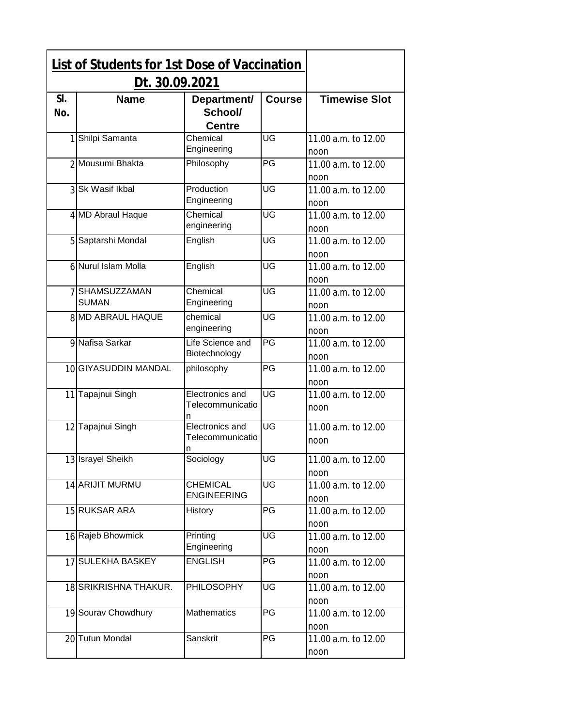|            | <b>List of Students for 1st Dose of Vaccination</b> |                                          |               |                             |
|------------|-----------------------------------------------------|------------------------------------------|---------------|-----------------------------|
|            | Dt. 30.09.2021                                      |                                          |               |                             |
| SI.<br>No. | <b>Name</b>                                         | Department/<br>School/<br><b>Centre</b>  | <b>Course</b> | <b>Timewise Slot</b>        |
| 1          | Shilpi Samanta                                      | Chemical<br>Engineering                  | UG            | 11.00 a.m. to 12.00<br>noon |
|            | 2 Mousumi Bhakta                                    | Philosophy                               | PG            | 11.00 a.m. to 12.00<br>noon |
|            | 3 Sk Wasif Ikbal                                    | Production<br>Engineering                | UG            | 11.00 a.m. to 12.00<br>noon |
|            | 4 MD Abraul Haque                                   | Chemical<br>engineering                  | UG            | 11.00 a.m. to 12.00<br>noon |
|            | 5 Saptarshi Mondal                                  | English                                  | UG            | 11.00 a.m. to 12.00<br>noon |
|            | 6 Nurul Islam Molla                                 | English                                  | UG            | 11.00 a.m. to 12.00<br>noon |
|            | 7 SHAMSUZZAMAN<br><b>SUMAN</b>                      | Chemical<br>Engineering                  | UG            | 11.00 a.m. to 12.00<br>noon |
|            | 8 MD ABRAUL HAQUE                                   | chemical<br>engineering                  | UG            | 11.00 a.m. to 12.00<br>noon |
|            | 9 Nafisa Sarkar                                     | Life Science and<br>Biotechnology        | PG            | 11.00 a.m. to 12.00<br>noon |
|            | 10 GIYASUDDIN MANDAL                                | philosophy                               | PG            | 11.00 a.m. to 12.00<br>noon |
|            | 11 Tapajnui Singh                                   | Electronics and<br>Telecommunicatio<br>n | UG            | 11.00 a.m. to 12.00<br>noon |
|            | 12 Tapajnui Singh                                   | Electronics and<br>Telecommunicatio      | UG            | 11.00 a.m. to 12.00<br>noon |
|            | 13 Israyel Sheikh                                   | Sociology                                | UG            | 11.00 a.m. to 12.00<br>noon |
|            | 14 ARIJIT MURMU                                     | <b>CHEMICAL</b><br><b>ENGINEERING</b>    | UG            | 11.00 a.m. to 12.00<br>noon |
|            | 15 RUKSAR ARA                                       | History                                  | PG            | 11.00 a.m. to 12.00<br>noon |
|            | 16 Rajeb Bhowmick                                   | Printing<br>Engineering                  | UG            | 11.00 a.m. to 12.00<br>noon |
|            | 17 SULEKHA BASKEY                                   | <b>ENGLISH</b>                           | PG            | 11.00 a.m. to 12.00<br>noon |
|            | 18 SRIKRISHNA THAKUR.                               | <b>PHILOSOPHY</b>                        | UG            | 11.00 a.m. to 12.00<br>noon |
|            | 19 Sourav Chowdhury                                 | <b>Mathematics</b>                       | PG            | 11.00 a.m. to 12.00<br>noon |
|            | 20 Tutun Mondal                                     | Sanskrit                                 | PG            | 11.00 a.m. to 12.00<br>noon |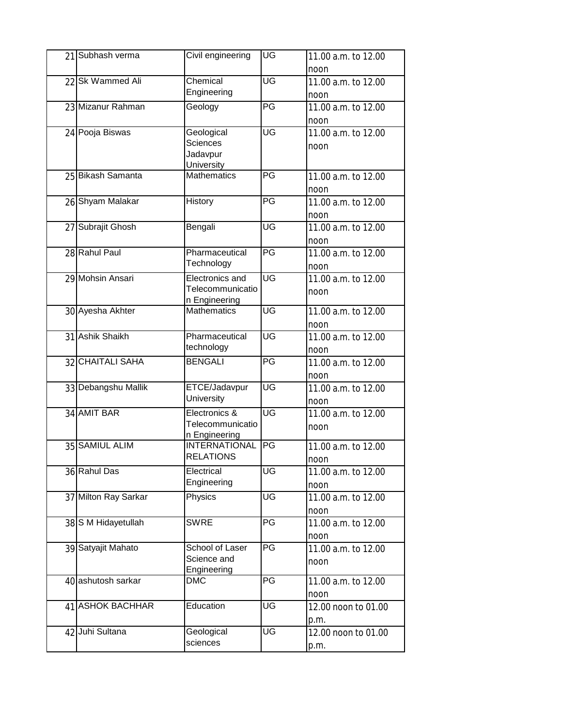| 21 Subhash verma     | Civil engineering                     | UG              | 11.00 a.m. to 12.00         |
|----------------------|---------------------------------------|-----------------|-----------------------------|
|                      |                                       |                 | noon                        |
| 22 Sk Wammed Ali     | Chemical                              | UG              | 11.00 a.m. to 12.00         |
|                      | Engineering                           |                 | noon                        |
| 23 Mizanur Rahman    | Geology                               | PG              | 11.00 a.m. to 12.00         |
|                      |                                       |                 | noon                        |
| 24 Pooja Biswas      | Geological                            | UG              | 11.00 a.m. to 12.00         |
|                      | <b>Sciences</b>                       |                 | noon                        |
|                      | Jadavpur<br>University                |                 |                             |
| 25 Bikash Samanta    | <b>Mathematics</b>                    | $\overline{P}G$ | 11.00 a.m. to 12.00         |
|                      |                                       |                 | noon                        |
| 26 Shyam Malakar     | History                               | PG              | 11.00 a.m. to 12.00         |
|                      |                                       |                 | noon                        |
| 27 Subrajit Ghosh    | Bengali                               | UG              | 11.00 a.m. to 12.00         |
|                      |                                       |                 | noon                        |
| 28 Rahul Paul        | Pharmaceutical                        | PG              | 11.00 a.m. to 12.00         |
|                      | Technology                            |                 | noon                        |
| 29 Mohsin Ansari     | Electronics and                       | UG              | 11.00 a.m. to 12.00         |
|                      | Telecommunicatio                      |                 | noon                        |
|                      | n Engineering                         |                 |                             |
| 30 Ayesha Akhter     | <b>Mathematics</b>                    | UG              | 11.00 a.m. to 12.00         |
|                      |                                       |                 | noon                        |
| 31 Ashik Shaikh      | Pharmaceutical                        | UG              | 11.00 a.m. to 12.00         |
|                      | technology                            |                 | noon                        |
| 32 CHAITALI SAHA     | <b>BENGALI</b>                        | PG              | 11.00 a.m. to 12.00         |
|                      |                                       |                 | noon                        |
| 33 Debangshu Mallik  | ETCE/Jadavpur                         | UG              | 11.00 a.m. to 12.00         |
|                      | University                            |                 | noon                        |
| 34 AMIT BAR          | Electronics &                         | UG              | 11.00 a.m. to 12.00         |
|                      | Telecommunicatio                      |                 | noon                        |
| 35 SAMIUL ALIM       | n Engineering<br><b>INTERNATIONAL</b> | PG              | 11.00 a.m. to 12.00         |
|                      | <b>RELATIONS</b>                      |                 |                             |
| 36 Rahul Das         | Electrical                            | UG              | noon<br>11.00 a.m. to 12.00 |
|                      | Engineering                           |                 | noon                        |
| 37 Milton Ray Sarkar | Physics                               | UG              | 11.00 a.m. to 12.00         |
|                      |                                       |                 | noon                        |
| 38 S M Hidayetullah  | <b>SWRE</b>                           | PG              | 11.00 a.m. to 12.00         |
|                      |                                       |                 | noon                        |
| 39 Satyajit Mahato   | School of Laser                       | PG              | 11.00 a.m. to 12.00         |
|                      | Science and                           |                 | noon                        |
|                      | Engineering                           |                 |                             |
| 40 ashutosh sarkar   | <b>DMC</b>                            | PG              | 11.00 a.m. to 12.00         |
|                      |                                       |                 | noon                        |
| 41 ASHOK BACHHAR     | Education                             | UG              | 12.00 noon to 01.00         |
|                      |                                       |                 | p.m.                        |
| 42 Juhi Sultana      | Geological                            | UG              | 12.00 noon to 01.00         |
|                      | sciences                              |                 | p.m.                        |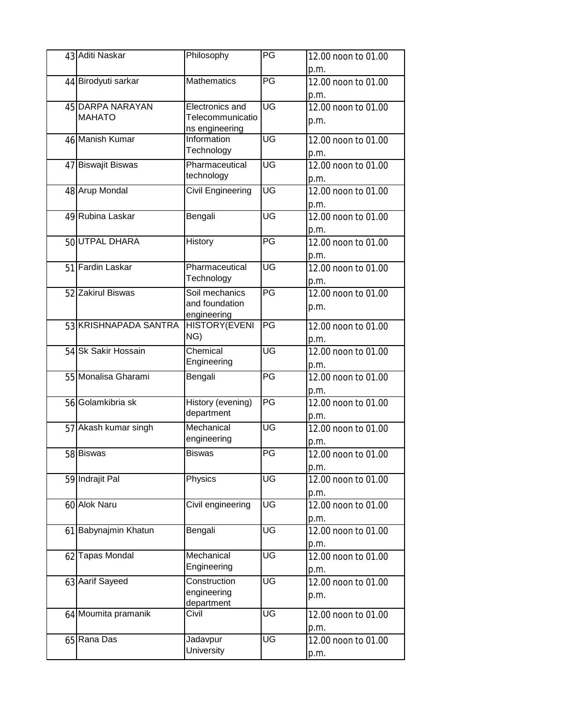| 43 Aditi Naskar       | Philosophy           | PG                                | 12.00 noon to 01.00         |
|-----------------------|----------------------|-----------------------------------|-----------------------------|
|                       |                      |                                   | p.m.                        |
| 44 Birodyuti sarkar   | <b>Mathematics</b>   | PG                                | 12.00 noon to 01.00<br>p.m. |
| 45 DARPA NARAYAN      | Electronics and      | UG                                | 12.00 noon to 01.00         |
| <b>MAHATO</b>         | Telecommunicatio     |                                   | p.m.                        |
|                       | ns engineering       |                                   |                             |
| 46 Manish Kumar       | Information          | UG                                | 12.00 noon to 01.00         |
|                       | Technology           |                                   | p.m.                        |
| 47 Biswajit Biswas    | Pharmaceutical       | UG                                | 12.00 noon to 01.00         |
|                       | technology           |                                   | p.m.                        |
| 48 Arup Mondal        | Civil Engineering    | UG                                | 12.00 noon to 01.00         |
|                       |                      |                                   |                             |
| 49 Rubina Laskar      |                      | UG                                | p.m.                        |
|                       | Bengali              |                                   | 12.00 noon to 01.00         |
|                       |                      |                                   | p.m.                        |
| 50 UTPAL DHARA        | History              | PG                                | 12.00 noon to 01.00         |
|                       |                      |                                   | p.m.                        |
| 51 Fardin Laskar      | Pharmaceutical       | $\overline{\mathsf{U}\mathsf{G}}$ | 12.00 noon to 01.00         |
|                       | Technology           |                                   | p.m.                        |
| 52 Zakirul Biswas     | Soil mechanics       | PG                                | 12.00 noon to 01.00         |
|                       | and foundation       |                                   | p.m.                        |
|                       | engineering          |                                   |                             |
| 53 KRISHNAPADA SANTRA | <b>HISTORY(EVENI</b> | PG                                | 12.00 noon to 01.00         |
|                       | NG)                  |                                   | p.m.                        |
| 54 Sk Sakir Hossain   | Chemical             | UG                                | 12.00 noon to 01.00         |
|                       | Engineering          |                                   | p.m.                        |
| 55 Monalisa Gharami   | Bengali              | PG                                | 12.00 noon to 01.00         |
|                       |                      |                                   | p.m.                        |
| 56 Golamkibria sk     | History (evening)    | PG                                | 12.00 noon to 01.00         |
|                       | department           |                                   | p.m.                        |
| 57 Akash kumar singh  | Mechanical           | UG                                | 12.00 noon to 01.00         |
|                       | engineering          |                                   | p.m.                        |
| 58 Biswas             | <b>Biswas</b>        | PG                                | 12.00 noon to 01.00         |
|                       |                      |                                   | p.m.                        |
| 59 Indrajit Pal       | Physics              | UG                                | 12.00 noon to 01.00         |
|                       |                      |                                   |                             |
| 60 Alok Naru          | Civil engineering    | UG                                | p.m.<br>12.00 noon to 01.00 |
|                       |                      |                                   |                             |
|                       |                      |                                   | p.m.                        |
| 61 Babynajmin Khatun  | Bengali              | UG                                | 12.00 noon to 01.00         |
|                       |                      |                                   | p.m.                        |
| 62 Tapas Mondal       | Mechanical           | UG                                | 12.00 noon to 01.00         |
|                       | Engineering          |                                   | p.m.                        |
| 63 Aarif Sayeed       | Construction         | UG                                | 12.00 noon to 01.00         |
|                       | engineering          |                                   | p.m.                        |
|                       | department           |                                   |                             |
| 64 Moumita pramanik   | Civil                | UG                                | 12.00 noon to 01.00         |
|                       |                      |                                   | p.m.                        |
| 65 Rana Das           | Jadavpur             | UG                                | 12.00 noon to 01.00         |
|                       | University           |                                   | p.m.                        |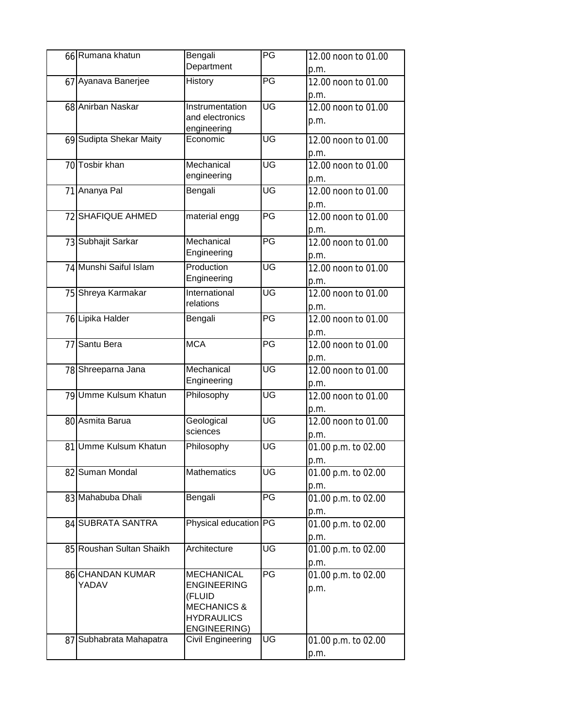| 66 Rumana khatun                                     | Bengali<br>Department                                                                                                                 | PG        | 12.00 noon to 01.00<br>p.m.                                |
|------------------------------------------------------|---------------------------------------------------------------------------------------------------------------------------------------|-----------|------------------------------------------------------------|
| 67 Ayanava Banerjee                                  | History                                                                                                                               | PG        | 12.00 noon to 01.00                                        |
| 68 Anirban Naskar                                    | Instrumentation<br>and electronics<br>engineering                                                                                     | <b>UG</b> | p.m.<br>12.00 noon to 01.00<br>p.m.                        |
| 69 Sudipta Shekar Maity                              | Economic                                                                                                                              | UG        | 12.00 noon to 01.00<br>p.m.                                |
| 70 Tosbir khan                                       | Mechanical<br>engineering                                                                                                             | UG        | 12.00 noon to 01.00<br>p.m.                                |
| 71 Ananya Pal                                        | Bengali                                                                                                                               | UG        | 12.00 noon to 01.00<br>p.m.                                |
| 72 SHAFIQUE AHMED                                    | material engg                                                                                                                         | PG        | 12.00 noon to 01.00<br>p.m.                                |
| 73 Subhajit Sarkar                                   | Mechanical<br>Engineering                                                                                                             | PG        | 12.00 noon to 01.00<br>p.m.                                |
| 74 Munshi Saiful Islam                               | Production<br>Engineering                                                                                                             | UG        | 12.00 noon to 01.00                                        |
| 75 Shreya Karmakar                                   | International<br>relations                                                                                                            | UG        | p.m.<br>12.00 noon to 01.00                                |
| 76 Lipika Halder                                     | Bengali                                                                                                                               | PG        | p.m.<br>12.00 noon to 01.00                                |
| 77 Santu Bera                                        | <b>MCA</b>                                                                                                                            | PG        | p.m.<br>12.00 noon to 01.00                                |
| 78 Shreeparna Jana                                   | Mechanical<br>Engineering                                                                                                             | UG        | p.m.<br>12.00 noon to 01.00                                |
| 79 Umme Kulsum Khatun                                | Philosophy                                                                                                                            | UG        | p.m.<br>12.00 noon to 01.00                                |
| 80 Asmita Barua                                      | Geological<br>sciences                                                                                                                | UG        | p.m.<br>12.00 noon to 01.00                                |
| 81 Umme Kulsum Khatun                                | Philosophy                                                                                                                            | UG        | p.m.<br>01.00 p.m. to 02.00                                |
| 82 Suman Mondal                                      | <b>Mathematics</b>                                                                                                                    | UG        | p.m.<br>01.00 p.m. to 02.00                                |
| 83 Mahabuba Dhali                                    | Bengali                                                                                                                               | PG        | p.m.<br>01.00 p.m. to 02.00                                |
| 84 SUBRATA SANTRA                                    | Physical education PG                                                                                                                 |           | p.m.<br>01.00 p.m. to 02.00                                |
| 85 Roushan Sultan Shaikh                             | Architecture                                                                                                                          | UG        | p.m.<br>01.00 p.m. to 02.00                                |
| 86 CHANDAN KUMAR<br>YADAV<br>87 Subhabrata Mahapatra | <b>MECHANICAL</b><br><b>ENGINEERING</b><br>(FLUID<br><b>MECHANICS &amp;</b><br><b>HYDRAULICS</b><br>ENGINEERING)<br>Civil Engineering | PG<br>UG  | p.m.<br>01.00 p.m. to 02.00<br>p.m.<br>01.00 p.m. to 02.00 |
|                                                      |                                                                                                                                       |           | p.m.                                                       |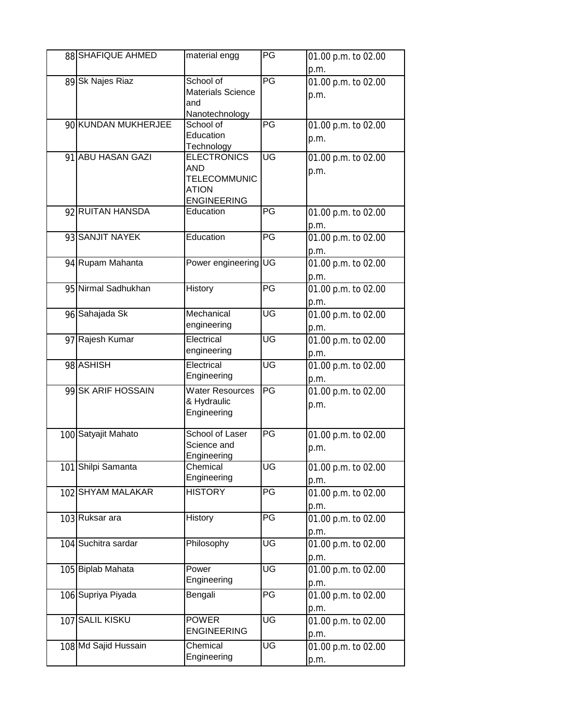| 88 SHAFIQUE AHMED    | material engg                   | PG        | 01.00 p.m. to 02.00 |
|----------------------|---------------------------------|-----------|---------------------|
|                      |                                 |           | p.m.                |
| 89 Sk Najes Riaz     | School of                       | PG        | 01.00 p.m. to 02.00 |
|                      | <b>Materials Science</b>        |           | p.m.                |
|                      | and                             |           |                     |
| 90 KUNDAN MUKHERJEE  | Nanotechnology<br>School of     | PG        |                     |
|                      | Education                       |           | 01.00 p.m. to 02.00 |
|                      | Technology                      |           | p.m.                |
| 91 ABU HASAN GAZI    | <b>ELECTRONICS</b>              | UG        | 01.00 p.m. to 02.00 |
|                      | <b>AND</b>                      |           | p.m.                |
|                      | <b>TELECOMMUNIC</b>             |           |                     |
|                      | <b>ATION</b>                    |           |                     |
| 92 RUITAN HANSDA     | <b>ENGINEERING</b><br>Education | PG        | 01.00 p.m. to 02.00 |
|                      |                                 |           | p.m.                |
| 93 SANJIT NAYEK      | Education                       | PG        | 01.00 p.m. to 02.00 |
|                      |                                 |           | p.m.                |
| 94 Rupam Mahanta     | Power engineering UG            |           | 01.00 p.m. to 02.00 |
|                      |                                 |           | p.m.                |
| 95 Nirmal Sadhukhan  | History                         | PG        | 01.00 p.m. to 02.00 |
|                      |                                 |           | p.m.                |
| 96 Sahajada Sk       | Mechanical                      | UG        | 01.00 p.m. to 02.00 |
|                      | engineering                     |           | p.m.                |
| 97 Rajesh Kumar      | Electrical                      | UG        | 01.00 p.m. to 02.00 |
|                      | engineering                     |           | p.m.                |
| 98 ASHISH            | Electrical                      | UG        | 01.00 p.m. to 02.00 |
|                      | Engineering                     |           | p.m.                |
| 99 SK ARIF HOSSAIN   | <b>Water Resources</b>          | PG        | 01.00 p.m. to 02.00 |
|                      | & Hydraulic                     |           | p.m.                |
|                      | Engineering                     |           |                     |
|                      | School of Laser                 | PG        |                     |
| 100 Satyajit Mahato  | Science and                     |           | 01.00 p.m. to 02.00 |
|                      | Engineering                     |           | p.m.                |
| 101 Shilpi Samanta   | Chemical                        | UG        | 01.00 p.m. to 02.00 |
|                      | Engineering                     |           | p.m.                |
| 102 SHYAM MALAKAR    | <b>HISTORY</b>                  | PG        | 01.00 p.m. to 02.00 |
|                      |                                 |           | p.m.                |
| 103 Ruksar ara       | History                         | PG        | 01.00 p.m. to 02.00 |
|                      |                                 |           | p.m.                |
| 104 Suchitra sardar  | Philosophy                      | UG        | 01.00 p.m. to 02.00 |
|                      |                                 |           | p.m.                |
| 105 Biplab Mahata    | Power                           | UG        | 01.00 p.m. to 02.00 |
|                      | Engineering                     |           | p.m.                |
| 106 Supriya Piyada   | Bengali                         | PG        | 01.00 p.m. to 02.00 |
|                      |                                 |           | p.m.                |
| 107 SALIL KISKU      | <b>POWER</b>                    | UG        | 01.00 p.m. to 02.00 |
|                      | <b>ENGINEERING</b>              |           | p.m.                |
| 108 Md Sajid Hussain | Chemical                        | <b>UG</b> | 01.00 p.m. to 02.00 |
|                      | Engineering                     |           | p.m.                |
|                      |                                 |           |                     |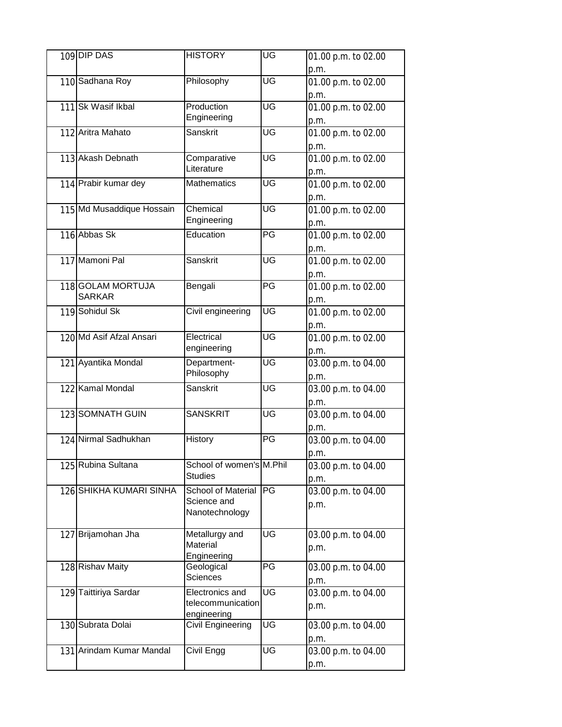| 109 DIP DAS               | <b>HISTORY</b>            | UG | 01.00 p.m. to 02.00         |
|---------------------------|---------------------------|----|-----------------------------|
|                           |                           |    | p.m.                        |
| 110 Sadhana Roy           | Philosophy                | UG | 01.00 p.m. to 02.00         |
|                           |                           |    | p.m.                        |
| 111 Sk Wasif Ikbal        | Production                | UG | 01.00 p.m. to 02.00         |
|                           | Engineering               |    | p.m.                        |
| 112 Aritra Mahato         | Sanskrit                  | UG | 01.00 p.m. to 02.00         |
|                           |                           |    | p.m.                        |
| 113 Akash Debnath         | Comparative               | UG | 01.00 p.m. to 02.00         |
|                           | Literature                |    | p.m.                        |
| 114 Prabir kumar dey      | <b>Mathematics</b>        | UG | 01.00 p.m. to 02.00         |
|                           |                           |    | p.m.                        |
| 115 Md Musaddique Hossain | Chemical                  | UG | 01.00 p.m. to 02.00         |
|                           | Engineering               |    | p.m.                        |
| 116 Abbas Sk              | Education                 | PG | 01.00 p.m. to 02.00         |
|                           |                           |    | p.m.                        |
| 117 Mamoni Pal            | Sanskrit                  | UG | 01.00 p.m. to 02.00         |
|                           |                           |    | p.m.                        |
| 118 GOLAM MORTUJA         | Bengali                   | PG | 01.00 p.m. to 02.00         |
| <b>SARKAR</b>             |                           |    | p.m.                        |
| 119 Sohidul Sk            | Civil engineering         | UG | 01.00 p.m. to 02.00         |
|                           |                           |    | p.m.                        |
| 120 Md Asif Afzal Ansari  | Electrical                | UG | 01.00 p.m. to 02.00         |
|                           | engineering               |    |                             |
| 121 Ayantika Mondal       | Department-               | UG | p.m.<br>03.00 p.m. to 04.00 |
|                           | Philosophy                |    |                             |
| 122 Kamal Mondal          | Sanskrit                  | UG | p.m.<br>03.00 p.m. to 04.00 |
|                           |                           |    | p.m.                        |
| 123 SOMNATH GUIN          | <b>SANSKRIT</b>           | UG | 03.00 p.m. to 04.00         |
|                           |                           |    |                             |
| 124 Nirmal Sadhukhan      | History                   | PG | p.m.                        |
|                           |                           |    | 03.00 p.m. to 04.00         |
| 125 Rubina Sultana        | School of women's M.Phil  |    | p.m.                        |
|                           | <b>Studies</b>            |    | 03.00 p.m. to 04.00         |
| 126 SHIKHA KUMARI SINHA   | School of Material        | PG | p.m.<br>03.00 p.m. to 04.00 |
|                           | Science and               |    |                             |
|                           | Nanotechnology            |    | p.m.                        |
|                           |                           |    |                             |
| 127 Brijamohan Jha        | Metallurgy and            | UG | 03.00 p.m. to 04.00         |
|                           | Material                  |    | p.m.                        |
| 128 Rishav Maity          | Engineering<br>Geological | PG | 03.00 p.m. to 04.00         |
|                           | <b>Sciences</b>           |    |                             |
| 129 Taittiriya Sardar     | Electronics and           | UG | p.m.                        |
|                           | telecommunication         |    | 03.00 p.m. to 04.00         |
|                           | engineering               |    | p.m.                        |
| 130 Subrata Dolai         | Civil Engineering         | UG | 03.00 p.m. to 04.00         |
|                           |                           |    | p.m.                        |
| 131 Arindam Kumar Mandal  | Civil Engg                | UG | 03.00 p.m. to 04.00         |
|                           |                           |    | p.m.                        |
|                           |                           |    |                             |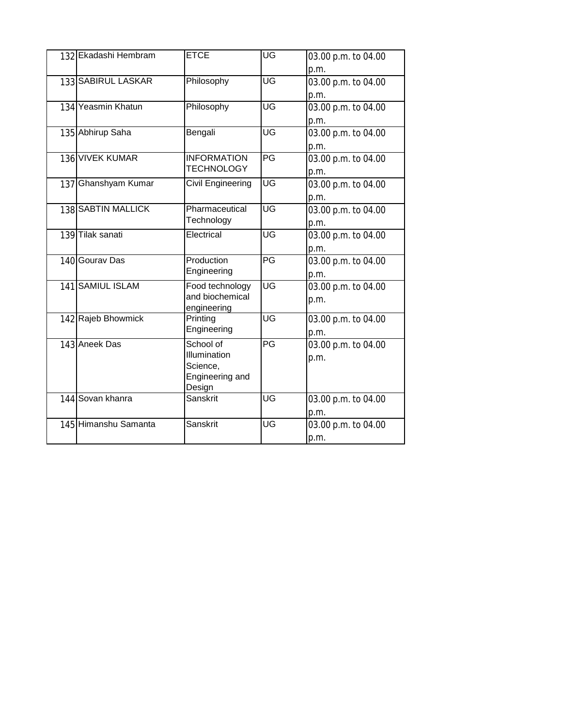| 132 Ekadashi Hembram      | <b>ETCE</b>             | UG | 03.00 p.m. to 04.00 |
|---------------------------|-------------------------|----|---------------------|
|                           |                         |    | p.m.                |
| 133 SABIRUL LASKAR        | Philosophy              | UG | 03.00 p.m. to 04.00 |
|                           |                         |    | p.m.                |
| 134 Yeasmin Khatun        | Philosophy              | ŪG | 03.00 p.m. to 04.00 |
|                           |                         |    | p.m.                |
| 135 Abhirup Saha          | Bengali                 | UG | 03.00 p.m. to 04.00 |
|                           |                         |    | p.m.                |
| 136 VIVEK KUMAR           | <b>INFORMATION</b>      | PG | 03.00 p.m. to 04.00 |
|                           | <b>TECHNOLOGY</b>       |    | p.m.                |
| 137 Ghanshyam Kumar       | Civil Engineering       | UG | 03.00 p.m. to 04.00 |
|                           |                         |    | p.m.                |
| <b>138 SABTIN MALLICK</b> | Pharmaceutical          | UG | 03.00 p.m. to 04.00 |
|                           | Technology              |    | p.m.                |
| 139 Tilak sanati          | Electrical              | UG | 03.00 p.m. to 04.00 |
|                           |                         |    | p.m.                |
| 140 Gourav Das            | Production              | PG | 03.00 p.m. to 04.00 |
|                           | Engineering             |    | p.m.                |
| 141 SAMIUL ISLAM          | Food technology         | UG | 03.00 p.m. to 04.00 |
|                           | and biochemical         |    | p.m.                |
| 142 Rajeb Bhowmick        | engineering<br>Printing | UG | 03.00 p.m. to 04.00 |
|                           | Engineering             |    | p.m.                |
| 143 Aneek Das             | School of               | PG | 03.00 p.m. to 04.00 |
|                           | Illumination            |    | p.m.                |
|                           | Science,                |    |                     |
|                           | Engineering and         |    |                     |
|                           | Design                  |    |                     |
| 144 Sovan khanra          | Sanskrit                | UG | 03.00 p.m. to 04.00 |
|                           |                         |    | p.m.                |
| 145 Himanshu Samanta      | Sanskrit                | UG | 03.00 p.m. to 04.00 |
|                           |                         |    | p.m.                |